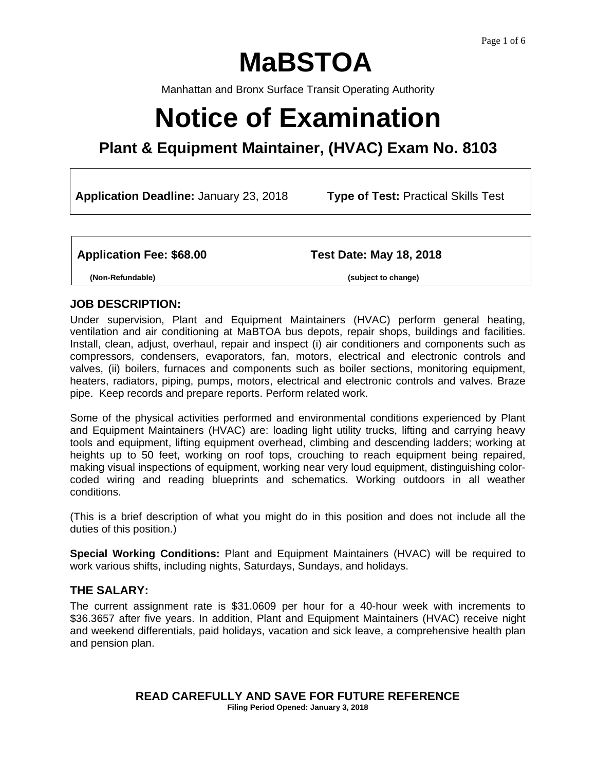# **MaBSTOA**

Manhattan and Bronx Surface Transit Operating Authority

# **Notice of Examination**

# **Plant & Equipment Maintainer, (HVAC) Exam No. 8103**

**Application Deadline:** January 23, 2018 **Type of Test:** Practical Skills Test

**Application Fee: \$68.00 Test Date: May 18, 2018**

 **(Non-Refundable) (subject to change)** 

#### **JOB DESCRIPTION:**

Under supervision, Plant and Equipment Maintainers (HVAC) perform general heating, ventilation and air conditioning at MaBTOA bus depots, repair shops, buildings and facilities. Install, clean, adjust, overhaul, repair and inspect (i) air conditioners and components such as compressors, condensers, evaporators, fan, motors, electrical and electronic controls and valves, (ii) boilers, furnaces and components such as boiler sections, monitoring equipment, heaters, radiators, piping, pumps, motors, electrical and electronic controls and valves. Braze pipe. Keep records and prepare reports. Perform related work.

Some of the physical activities performed and environmental conditions experienced by Plant and Equipment Maintainers (HVAC) are: loading light utility trucks, lifting and carrying heavy tools and equipment, lifting equipment overhead, climbing and descending ladders; working at heights up to 50 feet, working on roof tops, crouching to reach equipment being repaired, making visual inspections of equipment, working near very loud equipment, distinguishing colorcoded wiring and reading blueprints and schematics. Working outdoors in all weather conditions.

(This is a brief description of what you might do in this position and does not include all the duties of this position.)

**Special Working Conditions:** Plant and Equipment Maintainers (HVAC) will be required to work various shifts, including nights, Saturdays, Sundays, and holidays.

# **THE SALARY:**

The current assignment rate is \$31.0609 per hour for a 40-hour week with increments to \$36.3657 after five years. In addition, Plant and Equipment Maintainers (HVAC) receive night and weekend differentials, paid holidays, vacation and sick leave, a comprehensive health plan and pension plan.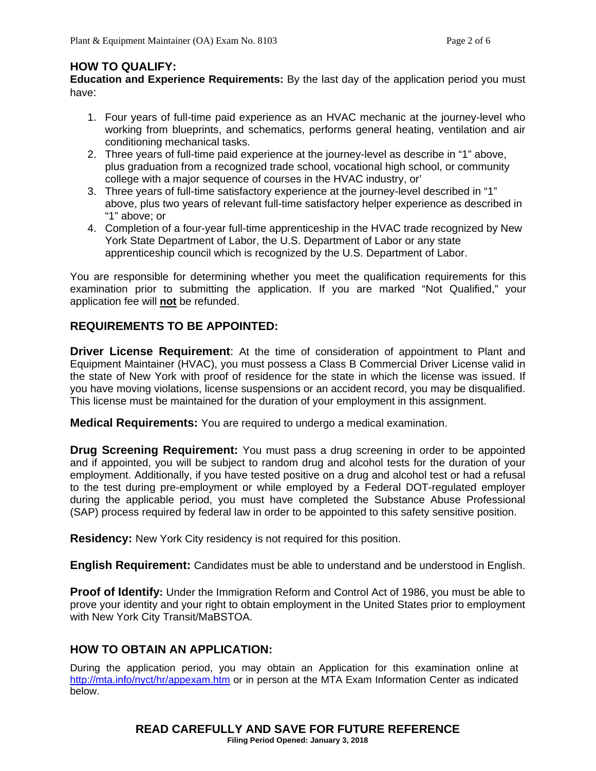#### **HOW TO QUALIFY:**

**Education and Experience Requirements:** By the last day of the application period you must have:

- 1. Four years of full-time paid experience as an HVAC mechanic at the journey-level who working from blueprints, and schematics, performs general heating, ventilation and air conditioning mechanical tasks.
- 2. Three years of full-time paid experience at the journey-level as describe in "1" above, plus graduation from a recognized trade school, vocational high school, or community college with a major sequence of courses in the HVAC industry, or'
- 3. Three years of full-time satisfactory experience at the journey-level described in "1" above, plus two years of relevant full-time satisfactory helper experience as described in "1" above; or
- 4. Completion of a four-year full-time apprenticeship in the HVAC trade recognized by New York State Department of Labor, the U.S. Department of Labor or any state apprenticeship council which is recognized by the U.S. Department of Labor.

You are responsible for determining whether you meet the qualification requirements for this examination prior to submitting the application. If you are marked "Not Qualified," your application fee will **not** be refunded.

# **REQUIREMENTS TO BE APPOINTED:**

**Driver License Requirement**: At the time of consideration of appointment to Plant and Equipment Maintainer (HVAC), you must possess a Class B Commercial Driver License valid in the state of New York with proof of residence for the state in which the license was issued. If you have moving violations, license suspensions or an accident record, you may be disqualified. This license must be maintained for the duration of your employment in this assignment.

**Medical Requirements:** You are required to undergo a medical examination.

**Drug Screening Requirement:** You must pass a drug screening in order to be appointed and if appointed, you will be subject to random drug and alcohol tests for the duration of your employment. Additionally, if you have tested positive on a drug and alcohol test or had a refusal to the test during pre-employment or while employed by a Federal DOT-regulated employer during the applicable period, you must have completed the Substance Abuse Professional (SAP) process required by federal law in order to be appointed to this safety sensitive position.

**Residency:** New York City residency is not required for this position.

**English Requirement:** Candidates must be able to understand and be understood in English.

**Proof of Identify:** Under the Immigration Reform and Control Act of 1986, you must be able to prove your identity and your right to obtain employment in the United States prior to employment with New York City Transit/MaBSTOA.

#### **HOW TO OBTAIN AN APPLICATION:**

During the application period, you may obtain an Application for this examination online at http://mta.info/nyct/hr/appexam.htm or in person at the MTA Exam Information Center as indicated below.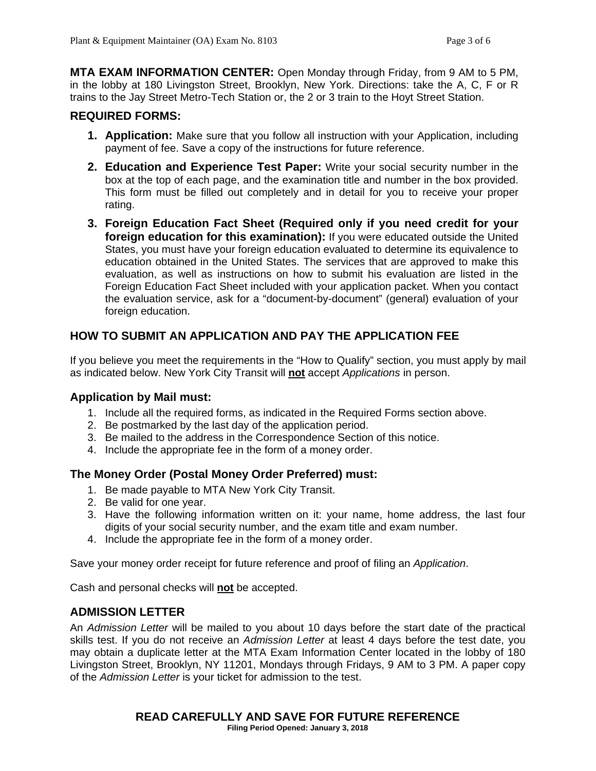**MTA EXAM INFORMATION CENTER:** Open Monday through Friday, from 9 AM to 5 PM, in the lobby at 180 Livingston Street, Brooklyn, New York. Directions: take the A, C, F or R trains to the Jay Street Metro-Tech Station or, the 2 or 3 train to the Hoyt Street Station.

# **REQUIRED FORMS:**

- **1. Application:** Make sure that you follow all instruction with your Application, including payment of fee. Save a copy of the instructions for future reference.
- **2. Education and Experience Test Paper:** Write your social security number in the box at the top of each page, and the examination title and number in the box provided. This form must be filled out completely and in detail for you to receive your proper rating.
- **3. Foreign Education Fact Sheet (Required only if you need credit for your foreign education for this examination):** If you were educated outside the United States, you must have your foreign education evaluated to determine its equivalence to education obtained in the United States. The services that are approved to make this evaluation, as well as instructions on how to submit his evaluation are listed in the Foreign Education Fact Sheet included with your application packet. When you contact the evaluation service, ask for a "document-by-document" (general) evaluation of your foreign education.

# **HOW TO SUBMIT AN APPLICATION AND PAY THE APPLICATION FEE**

If you believe you meet the requirements in the "How to Qualify" section, you must apply by mail as indicated below. New York City Transit will **not** accept *Applications* in person.

#### **Application by Mail must:**

- 1. Include all the required forms, as indicated in the Required Forms section above.
- 2. Be postmarked by the last day of the application period.
- 3. Be mailed to the address in the Correspondence Section of this notice.
- 4. Include the appropriate fee in the form of a money order.

#### **The Money Order (Postal Money Order Preferred) must:**

- 1. Be made payable to MTA New York City Transit.
- 2. Be valid for one year.
- 3. Have the following information written on it: your name, home address, the last four digits of your social security number, and the exam title and exam number.
- 4. Include the appropriate fee in the form of a money order.

Save your money order receipt for future reference and proof of filing an *Application*.

Cash and personal checks will **not** be accepted.

# **ADMISSION LETTER**

An *Admission Letter* will be mailed to you about 10 days before the start date of the practical skills test. If you do not receive an *Admission Letter* at least 4 days before the test date, you may obtain a duplicate letter at the MTA Exam Information Center located in the lobby of 180 Livingston Street, Brooklyn, NY 11201, Mondays through Fridays, 9 AM to 3 PM. A paper copy of the *Admission Letter* is your ticket for admission to the test.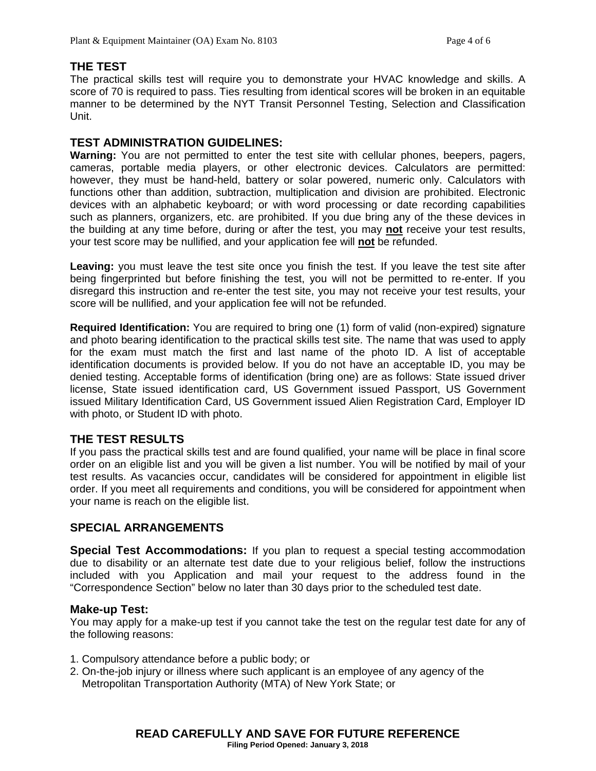#### **THE TEST**

The practical skills test will require you to demonstrate your HVAC knowledge and skills. A score of 70 is required to pass. Ties resulting from identical scores will be broken in an equitable manner to be determined by the NYT Transit Personnel Testing, Selection and Classification Unit.

#### **TEST ADMINISTRATION GUIDELINES:**

**Warning:** You are not permitted to enter the test site with cellular phones, beepers, pagers, cameras, portable media players, or other electronic devices. Calculators are permitted: however, they must be hand-held, battery or solar powered, numeric only. Calculators with functions other than addition, subtraction, multiplication and division are prohibited. Electronic devices with an alphabetic keyboard; or with word processing or date recording capabilities such as planners, organizers, etc. are prohibited. If you due bring any of the these devices in the building at any time before, during or after the test, you may **not** receive your test results, your test score may be nullified, and your application fee will **not** be refunded.

**Leaving:** you must leave the test site once you finish the test. If you leave the test site after being fingerprinted but before finishing the test, you will not be permitted to re-enter. If you disregard this instruction and re-enter the test site, you may not receive your test results, your score will be nullified, and your application fee will not be refunded.

**Required Identification:** You are required to bring one (1) form of valid (non-expired) signature and photo bearing identification to the practical skills test site. The name that was used to apply for the exam must match the first and last name of the photo ID. A list of acceptable identification documents is provided below. If you do not have an acceptable ID, you may be denied testing. Acceptable forms of identification (bring one) are as follows: State issued driver license, State issued identification card, US Government issued Passport, US Government issued Military Identification Card, US Government issued Alien Registration Card, Employer ID with photo, or Student ID with photo.

# **THE TEST RESULTS**

If you pass the practical skills test and are found qualified, your name will be place in final score order on an eligible list and you will be given a list number. You will be notified by mail of your test results. As vacancies occur, candidates will be considered for appointment in eligible list order. If you meet all requirements and conditions, you will be considered for appointment when your name is reach on the eligible list.

# **SPECIAL ARRANGEMENTS**

**Special Test Accommodations:** If you plan to request a special testing accommodation due to disability or an alternate test date due to your religious belief, follow the instructions included with you Application and mail your request to the address found in the "Correspondence Section" below no later than 30 days prior to the scheduled test date.

#### **Make-up Test:**

You may apply for a make-up test if you cannot take the test on the regular test date for any of the following reasons:

- 1. Compulsory attendance before a public body; or
- 2. On-the-job injury or illness where such applicant is an employee of any agency of the Metropolitan Transportation Authority (MTA) of New York State; or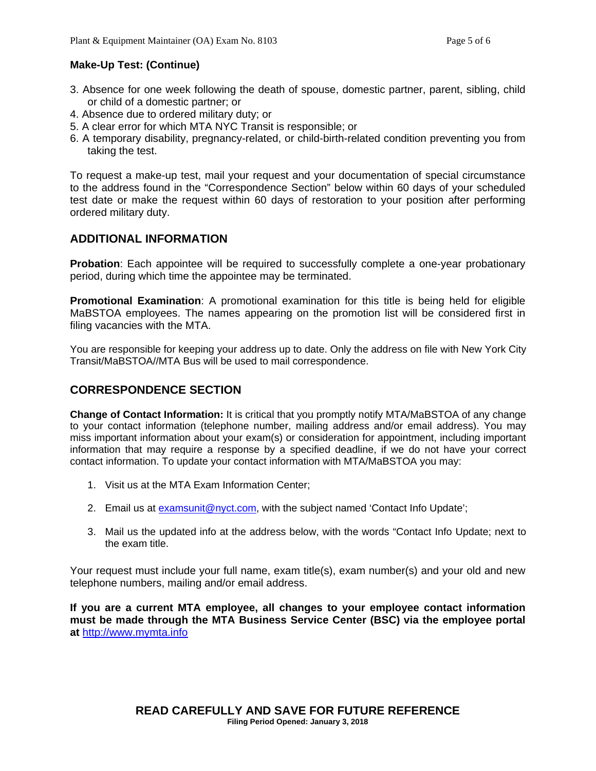#### **Make-Up Test: (Continue)**

- 3. Absence for one week following the death of spouse, domestic partner, parent, sibling, child or child of a domestic partner; or
- 4. Absence due to ordered military duty; or
- 5. A clear error for which MTA NYC Transit is responsible; or
- 6. A temporary disability, pregnancy-related, or child-birth-related condition preventing you from taking the test.

To request a make-up test, mail your request and your documentation of special circumstance to the address found in the "Correspondence Section" below within 60 days of your scheduled test date or make the request within 60 days of restoration to your position after performing ordered military duty.

#### **ADDITIONAL INFORMATION**

**Probation**: Each appointee will be required to successfully complete a one-year probationary period, during which time the appointee may be terminated.

**Promotional Examination**: A promotional examination for this title is being held for eligible MaBSTOA employees. The names appearing on the promotion list will be considered first in filing vacancies with the MTA.

You are responsible for keeping your address up to date. Only the address on file with New York City Transit/MaBSTOA//MTA Bus will be used to mail correspondence.

# **CORRESPONDENCE SECTION**

**Change of Contact Information:** It is critical that you promptly notify MTA/MaBSTOA of any change to your contact information (telephone number, mailing address and/or email address). You may miss important information about your exam(s) or consideration for appointment, including important information that may require a response by a specified deadline, if we do not have your correct contact information. To update your contact information with MTA/MaBSTOA you may:

- 1. Visit us at the MTA Exam Information Center;
- 2. Email us at examsunit@nyct.com, with the subject named 'Contact Info Update';
- 3. Mail us the updated info at the address below, with the words "Contact Info Update; next to the exam title.

Your request must include your full name, exam title(s), exam number(s) and your old and new telephone numbers, mailing and/or email address.

**If you are a current MTA employee, all changes to your employee contact information must be made through the MTA Business Service Center (BSC) via the employee portal at** http://www.mymta.info